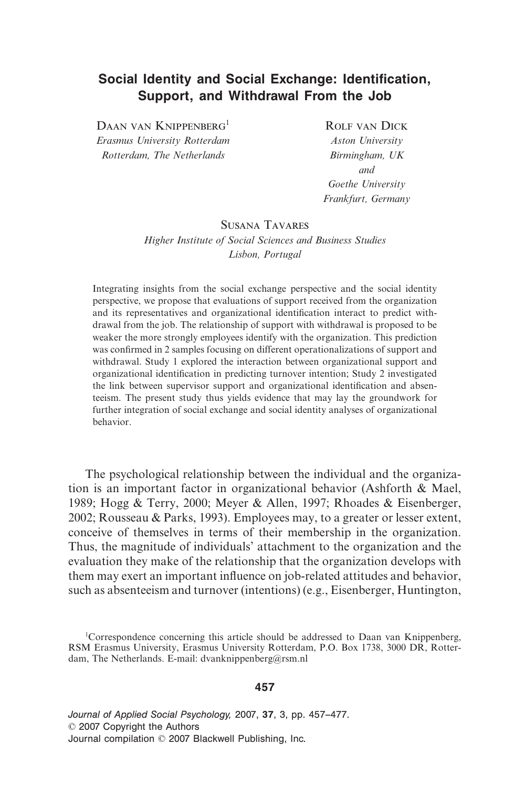# **Social Identity and Social Exchange: Identification, Support, and Withdrawal From the Job**

Daan van Knippenberg<sup>1</sup> *Erasmus University Rotterdam Rotterdam, The Netherlands*

Rolf van Dick *Aston University Birmingham, UK and Goethe University Frankfurt, Germany*

#### Susana Tavares

*Higher Institute of Social Sciences and Business Studies Lisbon, Portugal*

Integrating insights from the social exchange perspective and the social identity perspective, we propose that evaluations of support received from the organization and its representatives and organizational identification interact to predict withdrawal from the job. The relationship of support with withdrawal is proposed to be weaker the more strongly employees identify with the organization. This prediction was confirmed in 2 samples focusing on different operationalizations of support and withdrawal. Study 1 explored the interaction between organizational support and organizational identification in predicting turnover intention; Study 2 investigated the link between supervisor support and organizational identification and absenteeism. The present study thus yields evidence that may lay the groundwork for further integration of social exchange and social identity analyses of organizational behavior.

The psychological relationship between the individual and the organization is an important factor in organizational behavior (Ashforth & Mael, 1989; Hogg & Terry, 2000; Meyer & Allen, 1997; Rhoades & Eisenberger, 2002; Rousseau & Parks, 1993). Employees may, to a greater or lesser extent, conceive of themselves in terms of their membership in the organization. Thus, the magnitude of individuals' attachment to the organization and the evaluation they make of the relationship that the organization develops with them may exert an important influence on job-related attitudes and behavior, such as absenteeism and turnover (intentions) (e.g., Eisenberger, Huntington,

<sup>1</sup>Correspondence concerning this article should be addressed to Daan van Knippenberg, RSM Erasmus University, Erasmus University Rotterdam, P.O. Box 1738, 3000 DR, Rotterdam, The Netherlands. E-mail: dvanknippenberg@rsm.nl

### **457**

*Journal of Applied Social Psychology,* 2007, **37**, 3, pp. 457–477. © 2007 Copyright the Authors Journal compilation © 2007 Blackwell Publishing, Inc.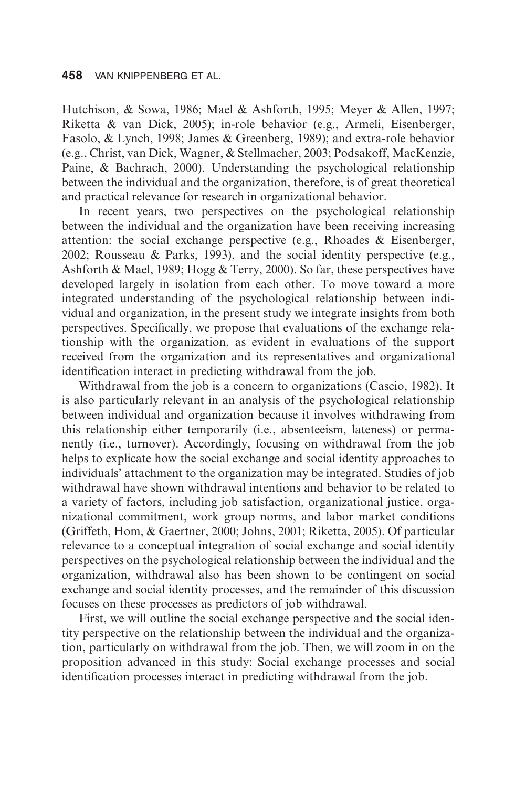Hutchison, & Sowa, 1986; Mael & Ashforth, 1995; Meyer & Allen, 1997; Riketta & van Dick, 2005); in-role behavior (e.g., Armeli, Eisenberger, Fasolo, & Lynch, 1998; James & Greenberg, 1989); and extra-role behavior (e.g., Christ, van Dick, Wagner, & Stellmacher, 2003; Podsakoff, MacKenzie, Paine, & Bachrach, 2000). Understanding the psychological relationship between the individual and the organization, therefore, is of great theoretical and practical relevance for research in organizational behavior.

In recent years, two perspectives on the psychological relationship between the individual and the organization have been receiving increasing attention: the social exchange perspective (e.g., Rhoades & Eisenberger, 2002; Rousseau & Parks, 1993), and the social identity perspective (e.g., Ashforth & Mael, 1989; Hogg & Terry, 2000). So far, these perspectives have developed largely in isolation from each other. To move toward a more integrated understanding of the psychological relationship between individual and organization, in the present study we integrate insights from both perspectives. Specifically, we propose that evaluations of the exchange relationship with the organization, as evident in evaluations of the support received from the organization and its representatives and organizational identification interact in predicting withdrawal from the job.

Withdrawal from the job is a concern to organizations (Cascio, 1982). It is also particularly relevant in an analysis of the psychological relationship between individual and organization because it involves withdrawing from this relationship either temporarily (i.e., absenteeism, lateness) or permanently (i.e., turnover). Accordingly, focusing on withdrawal from the job helps to explicate how the social exchange and social identity approaches to individuals' attachment to the organization may be integrated. Studies of job withdrawal have shown withdrawal intentions and behavior to be related to a variety of factors, including job satisfaction, organizational justice, organizational commitment, work group norms, and labor market conditions (Griffeth, Hom, & Gaertner, 2000; Johns, 2001; Riketta, 2005). Of particular relevance to a conceptual integration of social exchange and social identity perspectives on the psychological relationship between the individual and the organization, withdrawal also has been shown to be contingent on social exchange and social identity processes, and the remainder of this discussion focuses on these processes as predictors of job withdrawal.

First, we will outline the social exchange perspective and the social identity perspective on the relationship between the individual and the organization, particularly on withdrawal from the job. Then, we will zoom in on the proposition advanced in this study: Social exchange processes and social identification processes interact in predicting withdrawal from the job.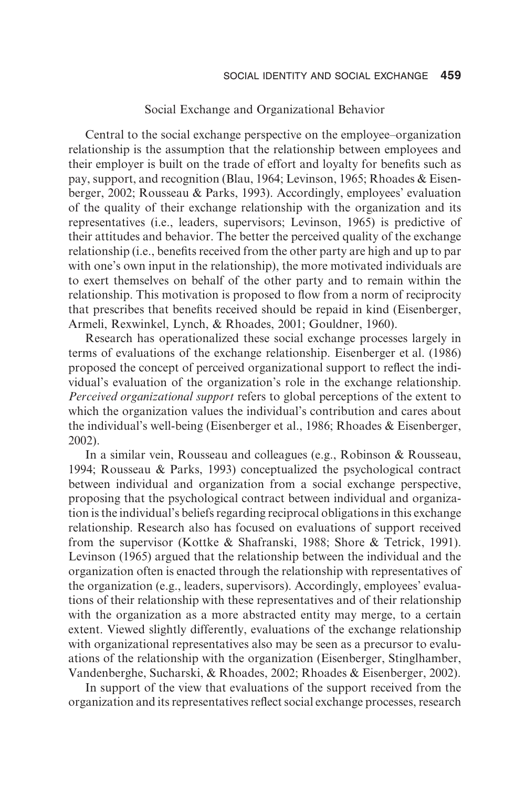## Social Exchange and Organizational Behavior

Central to the social exchange perspective on the employee–organization relationship is the assumption that the relationship between employees and their employer is built on the trade of effort and loyalty for benefits such as pay, support, and recognition (Blau, 1964; Levinson, 1965; Rhoades & Eisenberger, 2002; Rousseau & Parks, 1993). Accordingly, employees' evaluation of the quality of their exchange relationship with the organization and its representatives (i.e., leaders, supervisors; Levinson, 1965) is predictive of their attitudes and behavior. The better the perceived quality of the exchange relationship (i.e., benefits received from the other party are high and up to par with one's own input in the relationship), the more motivated individuals are to exert themselves on behalf of the other party and to remain within the relationship. This motivation is proposed to flow from a norm of reciprocity that prescribes that benefits received should be repaid in kind (Eisenberger, Armeli, Rexwinkel, Lynch, & Rhoades, 2001; Gouldner, 1960).

Research has operationalized these social exchange processes largely in terms of evaluations of the exchange relationship. Eisenberger et al. (1986) proposed the concept of perceived organizational support to reflect the individual's evaluation of the organization's role in the exchange relationship. *Perceived organizational support* refers to global perceptions of the extent to which the organization values the individual's contribution and cares about the individual's well-being (Eisenberger et al., 1986; Rhoades & Eisenberger, 2002).

In a similar vein, Rousseau and colleagues (e.g., Robinson & Rousseau, 1994; Rousseau & Parks, 1993) conceptualized the psychological contract between individual and organization from a social exchange perspective, proposing that the psychological contract between individual and organization is the individual's beliefs regarding reciprocal obligations in this exchange relationship. Research also has focused on evaluations of support received from the supervisor (Kottke & Shafranski, 1988; Shore & Tetrick, 1991). Levinson (1965) argued that the relationship between the individual and the organization often is enacted through the relationship with representatives of the organization (e.g., leaders, supervisors). Accordingly, employees' evaluations of their relationship with these representatives and of their relationship with the organization as a more abstracted entity may merge, to a certain extent. Viewed slightly differently, evaluations of the exchange relationship with organizational representatives also may be seen as a precursor to evaluations of the relationship with the organization (Eisenberger, Stinglhamber, Vandenberghe, Sucharski, & Rhoades, 2002; Rhoades & Eisenberger, 2002).

In support of the view that evaluations of the support received from the organization and its representatives reflect social exchange processes, research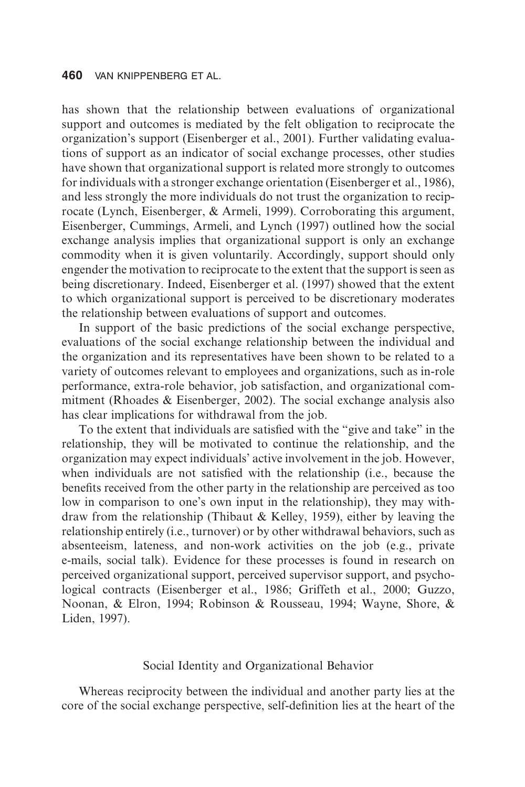has shown that the relationship between evaluations of organizational support and outcomes is mediated by the felt obligation to reciprocate the organization's support (Eisenberger et al., 2001). Further validating evaluations of support as an indicator of social exchange processes, other studies have shown that organizational support is related more strongly to outcomes for individuals with a stronger exchange orientation (Eisenberger et al., 1986), and less strongly the more individuals do not trust the organization to reciprocate (Lynch, Eisenberger, & Armeli, 1999). Corroborating this argument, Eisenberger, Cummings, Armeli, and Lynch (1997) outlined how the social exchange analysis implies that organizational support is only an exchange commodity when it is given voluntarily. Accordingly, support should only engender the motivation to reciprocate to the extent that the support is seen as being discretionary. Indeed, Eisenberger et al. (1997) showed that the extent to which organizational support is perceived to be discretionary moderates the relationship between evaluations of support and outcomes.

In support of the basic predictions of the social exchange perspective, evaluations of the social exchange relationship between the individual and the organization and its representatives have been shown to be related to a variety of outcomes relevant to employees and organizations, such as in-role performance, extra-role behavior, job satisfaction, and organizational commitment (Rhoades & Eisenberger, 2002). The social exchange analysis also has clear implications for withdrawal from the job.

To the extent that individuals are satisfied with the "give and take" in the relationship, they will be motivated to continue the relationship, and the organization may expect individuals' active involvement in the job. However, when individuals are not satisfied with the relationship (i.e., because the benefits received from the other party in the relationship are perceived as too low in comparison to one's own input in the relationship), they may withdraw from the relationship (Thibaut & Kelley, 1959), either by leaving the relationship entirely (i.e., turnover) or by other withdrawal behaviors, such as absenteeism, lateness, and non-work activities on the job (e.g., private e-mails, social talk). Evidence for these processes is found in research on perceived organizational support, perceived supervisor support, and psychological contracts (Eisenberger et al., 1986; Griffeth et al., 2000; Guzzo, Noonan, & Elron, 1994; Robinson & Rousseau, 1994; Wayne, Shore, & Liden, 1997).

## Social Identity and Organizational Behavior

Whereas reciprocity between the individual and another party lies at the core of the social exchange perspective, self-definition lies at the heart of the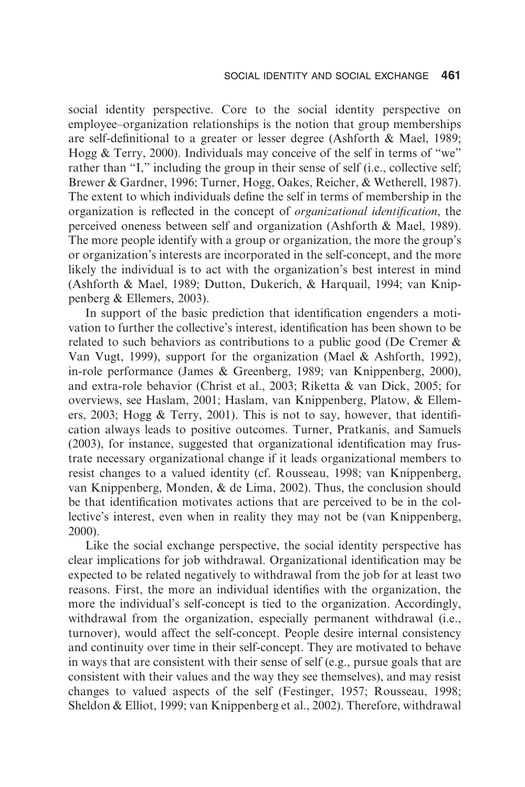social identity perspective. Core to the social identity perspective on employee–organization relationships is the notion that group memberships are self-definitional to a greater or lesser degree (Ashforth & Mael, 1989; Hogg & Terry, 2000). Individuals may conceive of the self in terms of "we" rather than "I," including the group in their sense of self (i.e., collective self; Brewer & Gardner, 1996; Turner, Hogg, Oakes, Reicher, & Wetherell, 1987). The extent to which individuals define the self in terms of membership in the organization is reflected in the concept of *organizational identification*, the perceived oneness between self and organization (Ashforth & Mael, 1989). The more people identify with a group or organization, the more the group's or organization's interests are incorporated in the self-concept, and the more likely the individual is to act with the organization's best interest in mind (Ashforth & Mael, 1989; Dutton, Dukerich, & Harquail, 1994; van Knippenberg & Ellemers, 2003).

In support of the basic prediction that identification engenders a motivation to further the collective's interest, identification has been shown to be related to such behaviors as contributions to a public good (De Cremer & Van Vugt, 1999), support for the organization (Mael & Ashforth, 1992), in-role performance (James & Greenberg, 1989; van Knippenberg, 2000), and extra-role behavior (Christ et al., 2003; Riketta & van Dick, 2005; for overviews, see Haslam, 2001; Haslam, van Knippenberg, Platow, & Ellemers, 2003; Hogg & Terry, 2001). This is not to say, however, that identification always leads to positive outcomes. Turner, Pratkanis, and Samuels (2003), for instance, suggested that organizational identification may frustrate necessary organizational change if it leads organizational members to resist changes to a valued identity (cf. Rousseau, 1998; van Knippenberg, van Knippenberg, Monden, & de Lima, 2002). Thus, the conclusion should be that identification motivates actions that are perceived to be in the collective's interest, even when in reality they may not be (van Knippenberg, 2000).

Like the social exchange perspective, the social identity perspective has clear implications for job withdrawal. Organizational identification may be expected to be related negatively to withdrawal from the job for at least two reasons. First, the more an individual identifies with the organization, the more the individual's self-concept is tied to the organization. Accordingly, withdrawal from the organization, especially permanent withdrawal (i.e., turnover), would affect the self-concept. People desire internal consistency and continuity over time in their self-concept. They are motivated to behave in ways that are consistent with their sense of self (e.g., pursue goals that are consistent with their values and the way they see themselves), and may resist changes to valued aspects of the self (Festinger, 1957; Rousseau, 1998; Sheldon & Elliot, 1999; van Knippenberg et al., 2002). Therefore, withdrawal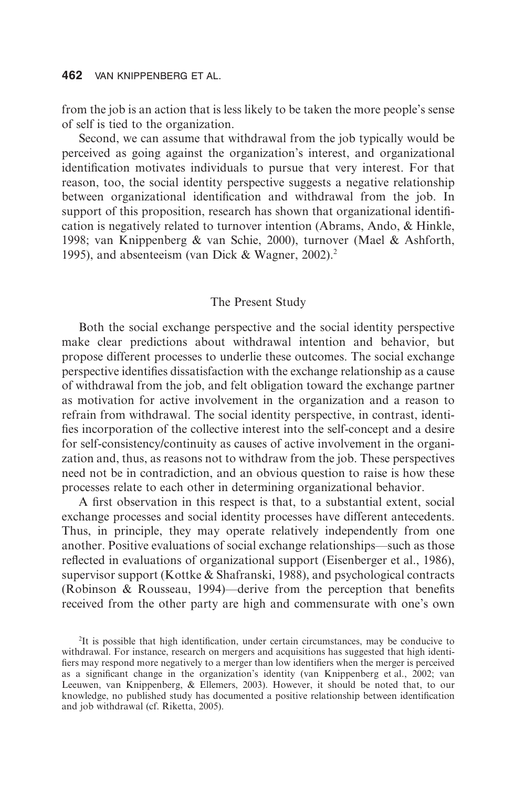from the job is an action that is less likely to be taken the more people's sense of self is tied to the organization.

Second, we can assume that withdrawal from the job typically would be perceived as going against the organization's interest, and organizational identification motivates individuals to pursue that very interest. For that reason, too, the social identity perspective suggests a negative relationship between organizational identification and withdrawal from the job. In support of this proposition, research has shown that organizational identification is negatively related to turnover intention (Abrams, Ando, & Hinkle, 1998; van Knippenberg & van Schie, 2000), turnover (Mael & Ashforth, 1995), and absenteeism (van Dick & Wagner, 2002).<sup>2</sup>

## The Present Study

Both the social exchange perspective and the social identity perspective make clear predictions about withdrawal intention and behavior, but propose different processes to underlie these outcomes. The social exchange perspective identifies dissatisfaction with the exchange relationship as a cause of withdrawal from the job, and felt obligation toward the exchange partner as motivation for active involvement in the organization and a reason to refrain from withdrawal. The social identity perspective, in contrast, identifies incorporation of the collective interest into the self-concept and a desire for self-consistency/continuity as causes of active involvement in the organization and, thus, as reasons not to withdraw from the job. These perspectives need not be in contradiction, and an obvious question to raise is how these processes relate to each other in determining organizational behavior.

A first observation in this respect is that, to a substantial extent, social exchange processes and social identity processes have different antecedents. Thus, in principle, they may operate relatively independently from one another. Positive evaluations of social exchange relationships—such as those reflected in evaluations of organizational support (Eisenberger et al., 1986), supervisor support (Kottke & Shafranski, 1988), and psychological contracts (Robinson & Rousseau, 1994)—derive from the perception that benefits received from the other party are high and commensurate with one's own

<sup>&</sup>lt;sup>2</sup>It is possible that high identification, under certain circumstances, may be conducive to withdrawal. For instance, research on mergers and acquisitions has suggested that high identifiers may respond more negatively to a merger than low identifiers when the merger is perceived as a significant change in the organization's identity (van Knippenberg et al., 2002; van Leeuwen, van Knippenberg, & Ellemers, 2003). However, it should be noted that, to our knowledge, no published study has documented a positive relationship between identification and job withdrawal (cf. Riketta, 2005).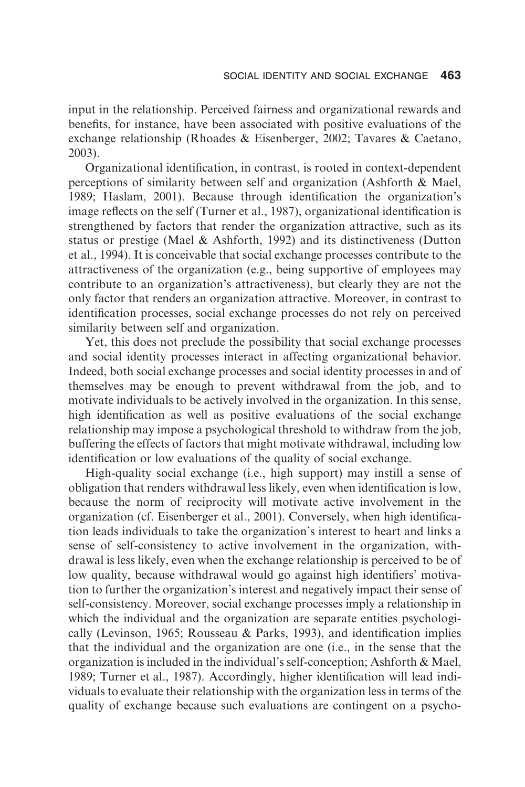input in the relationship. Perceived fairness and organizational rewards and benefits, for instance, have been associated with positive evaluations of the exchange relationship (Rhoades & Eisenberger, 2002; Tavares & Caetano, 2003).

Organizational identification, in contrast, is rooted in context-dependent perceptions of similarity between self and organization (Ashforth & Mael, 1989; Haslam, 2001). Because through identification the organization's image reflects on the self (Turner et al., 1987), organizational identification is strengthened by factors that render the organization attractive, such as its status or prestige (Mael & Ashforth, 1992) and its distinctiveness (Dutton et al., 1994). It is conceivable that social exchange processes contribute to the attractiveness of the organization (e.g., being supportive of employees may contribute to an organization's attractiveness), but clearly they are not the only factor that renders an organization attractive. Moreover, in contrast to identification processes, social exchange processes do not rely on perceived similarity between self and organization.

Yet, this does not preclude the possibility that social exchange processes and social identity processes interact in affecting organizational behavior. Indeed, both social exchange processes and social identity processes in and of themselves may be enough to prevent withdrawal from the job, and to motivate individuals to be actively involved in the organization. In this sense, high identification as well as positive evaluations of the social exchange relationship may impose a psychological threshold to withdraw from the job, buffering the effects of factors that might motivate withdrawal, including low identification or low evaluations of the quality of social exchange.

High-quality social exchange (i.e., high support) may instill a sense of obligation that renders withdrawal less likely, even when identification is low, because the norm of reciprocity will motivate active involvement in the organization (cf. Eisenberger et al., 2001). Conversely, when high identification leads individuals to take the organization's interest to heart and links a sense of self-consistency to active involvement in the organization, withdrawal is less likely, even when the exchange relationship is perceived to be of low quality, because withdrawal would go against high identifiers' motivation to further the organization's interest and negatively impact their sense of self-consistency. Moreover, social exchange processes imply a relationship in which the individual and the organization are separate entities psychologically (Levinson, 1965; Rousseau & Parks, 1993), and identification implies that the individual and the organization are one (i.e., in the sense that the organization is included in the individual's self-conception; Ashforth & Mael, 1989; Turner et al., 1987). Accordingly, higher identification will lead individuals to evaluate their relationship with the organization less in terms of the quality of exchange because such evaluations are contingent on a psycho-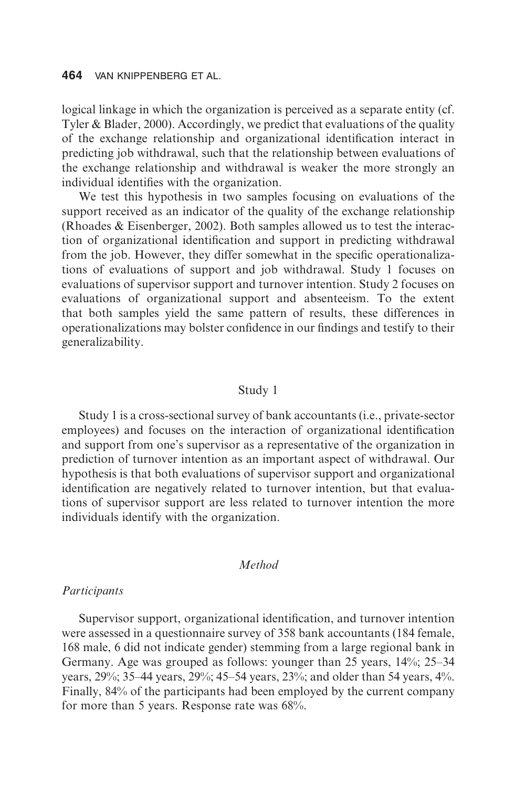logical linkage in which the organization is perceived as a separate entity (cf. Tyler & Blader, 2000). Accordingly, we predict that evaluations of the quality of the exchange relationship and organizational identification interact in predicting job withdrawal, such that the relationship between evaluations of the exchange relationship and withdrawal is weaker the more strongly an individual identifies with the organization.

We test this hypothesis in two samples focusing on evaluations of the support received as an indicator of the quality of the exchange relationship (Rhoades & Eisenberger, 2002). Both samples allowed us to test the interaction of organizational identification and support in predicting withdrawal from the job. However, they differ somewhat in the specific operationalizations of evaluations of support and job withdrawal. Study 1 focuses on evaluations of supervisor support and turnover intention. Study 2 focuses on evaluations of organizational support and absenteeism. To the extent that both samples yield the same pattern of results, these differences in operationalizations may bolster confidence in our findings and testify to their generalizability.

### Study 1

Study 1 is a cross-sectional survey of bank accountants (i.e., private-sector employees) and focuses on the interaction of organizational identification and support from one's supervisor as a representative of the organization in prediction of turnover intention as an important aspect of withdrawal. Our hypothesis is that both evaluations of supervisor support and organizational identification are negatively related to turnover intention, but that evaluations of supervisor support are less related to turnover intention the more individuals identify with the organization.

## *Method*

## *Participants*

Supervisor support, organizational identification, and turnover intention were assessed in a questionnaire survey of 358 bank accountants (184 female, 168 male, 6 did not indicate gender) stemming from a large regional bank in Germany. Age was grouped as follows: younger than 25 years, 14%; 25–34 years, 29%; 35–44 years, 29%; 45–54 years, 23%; and older than 54 years, 4%. Finally, 84% of the participants had been employed by the current company for more than 5 years. Response rate was 68%.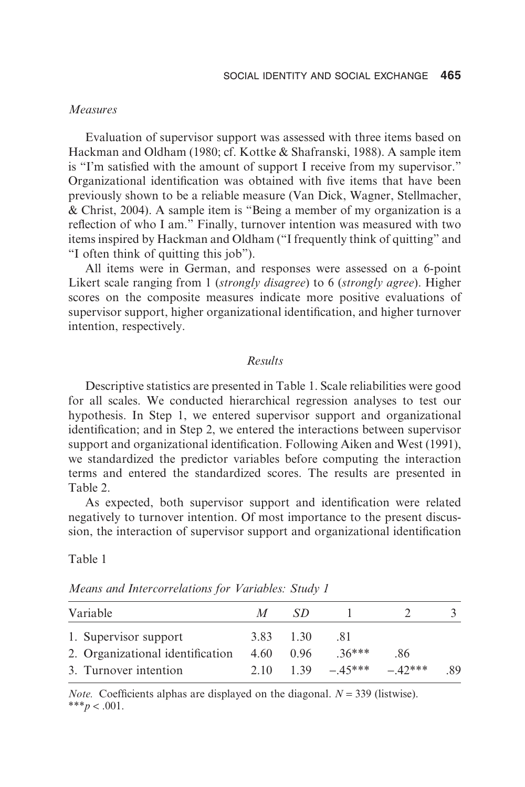## *Measures*

Evaluation of supervisor support was assessed with three items based on Hackman and Oldham (1980; cf. Kottke & Shafranski, 1988). A sample item is "I'm satisfied with the amount of support I receive from my supervisor." Organizational identification was obtained with five items that have been previously shown to be a reliable measure (Van Dick, Wagner, Stellmacher, & Christ, 2004). A sample item is "Being a member of my organization is a reflection of who I am." Finally, turnover intention was measured with two items inspired by Hackman and Oldham ("I frequently think of quitting" and "I often think of quitting this job").

All items were in German, and responses were assessed on a 6-point Likert scale ranging from 1 (*strongly disagree*) to 6 (*strongly agree*). Higher scores on the composite measures indicate more positive evaluations of supervisor support, higher organizational identification, and higher turnover intention, respectively.

## *Results*

Descriptive statistics are presented in Table 1. Scale reliabilities were good for all scales. We conducted hierarchical regression analyses to test our hypothesis. In Step 1, we entered supervisor support and organizational identification; and in Step 2, we entered the interactions between supervisor support and organizational identification. Following Aiken and West (1991), we standardized the predictor variables before computing the interaction terms and entered the standardized scores. The results are presented in Table 2.

As expected, both supervisor support and identification were related negatively to turnover intention. Of most importance to the present discussion, the interaction of supervisor support and organizational identification

Table 1

| Variable                         | $\boldsymbol{M}$ | SD.       |                        |     |     |
|----------------------------------|------------------|-----------|------------------------|-----|-----|
| 1. Supervisor support            |                  | 3.83 1.30 | .81                    |     |     |
| 2. Organizational identification | 4.60             | 0.96      | $.36***$               | .86 |     |
| 3. Turnover intention            | 2.10             |           | $1.39 - 45*** - 42***$ |     | .89 |

*Means and Intercorrelations for Variables: Study 1*

*Note.* Coefficients alphas are displayed on the diagonal.  $N = 339$  (listwise). \*\*\* $p < .001$ .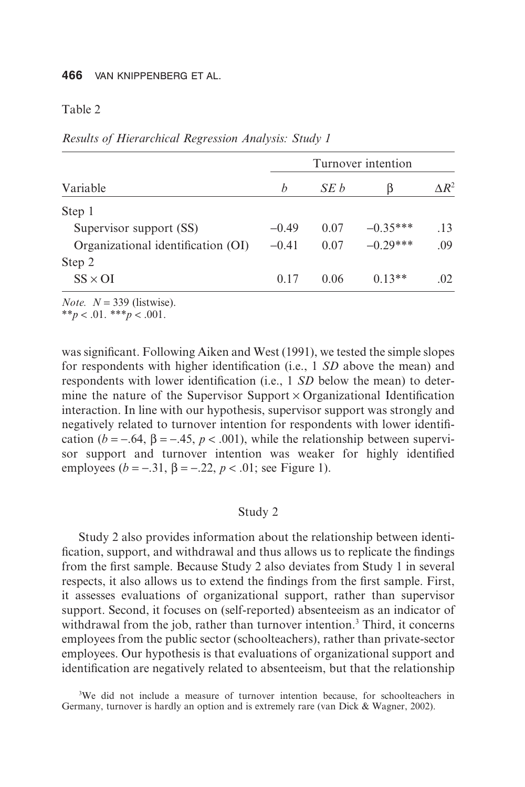#### Table 2

|                                    | Turnover intention |      |            |                 |  |
|------------------------------------|--------------------|------|------------|-----------------|--|
| Variable                           | h                  | SE b | ß          | $\triangle R^2$ |  |
| Step 1                             |                    |      |            |                 |  |
| Supervisor support (SS)            | $-0.49$            | 0.07 | $-0.35***$ | .13             |  |
| Organizational identification (OI) | $-0.41$            | 0.07 | $-0.29***$ | .09             |  |
| Step 2                             |                    |      |            |                 |  |
| $SS \times OI$                     | 0.17               | 0.06 | $0.13**$   | .02             |  |

*Results of Hierarchical Regression Analysis: Study 1*

*Note. N* = 339 (listwise).

\*\* $p < .01.$ \*\*\* $p < .001.$ 

was significant. Following Aiken and West (1991), we tested the simple slopes for respondents with higher identification (i.e., 1 *SD* above the mean) and respondents with lower identification (i.e., 1 *SD* below the mean) to determine the nature of the Supervisor Support  $\times$  Organizational Identification interaction. In line with our hypothesis, supervisor support was strongly and negatively related to turnover intention for respondents with lower identification ( $b = -.64$ ,  $\beta = -.45$ ,  $p < .001$ ), while the relationship between supervisor support and turnover intention was weaker for highly identified employees  $(b = -.31, \beta = -.22, p < .01$ ; see Figure 1).

## Study 2

Study 2 also provides information about the relationship between identification, support, and withdrawal and thus allows us to replicate the findings from the first sample. Because Study 2 also deviates from Study 1 in several respects, it also allows us to extend the findings from the first sample. First, it assesses evaluations of organizational support, rather than supervisor support. Second, it focuses on (self-reported) absenteeism as an indicator of withdrawal from the job, rather than turnover intention.<sup>3</sup> Third, it concerns employees from the public sector (schoolteachers), rather than private-sector employees. Our hypothesis is that evaluations of organizational support and identification are negatively related to absenteeism, but that the relationship

<sup>3</sup>We did not include a measure of turnover intention because, for schoolteachers in Germany, turnover is hardly an option and is extremely rare (van Dick & Wagner, 2002).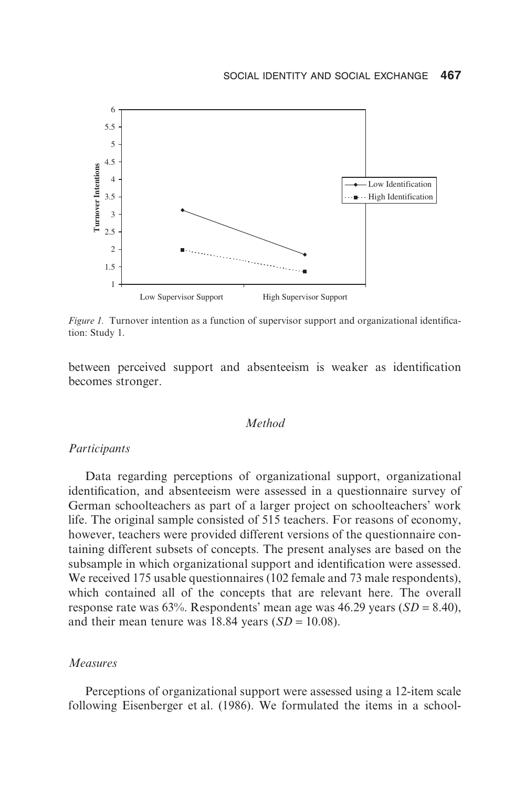

*Figure 1.* Turnover intention as a function of supervisor support and organizational identification: Study 1.

between perceived support and absenteeism is weaker as identification becomes stronger.

## *Method*

#### *Participants*

Data regarding perceptions of organizational support, organizational identification, and absenteeism were assessed in a questionnaire survey of German schoolteachers as part of a larger project on schoolteachers' work life. The original sample consisted of 515 teachers. For reasons of economy, however, teachers were provided different versions of the questionnaire containing different subsets of concepts. The present analyses are based on the subsample in which organizational support and identification were assessed. We received 175 usable questionnaires (102 female and 73 male respondents), which contained all of the concepts that are relevant here. The overall response rate was  $63\%$ . Respondents' mean age was  $46.29$  years  $(SD = 8.40)$ , and their mean tenure was 18.84 years  $(SD = 10.08)$ .

#### *Measures*

Perceptions of organizational support were assessed using a 12-item scale following Eisenberger et al. (1986). We formulated the items in a school-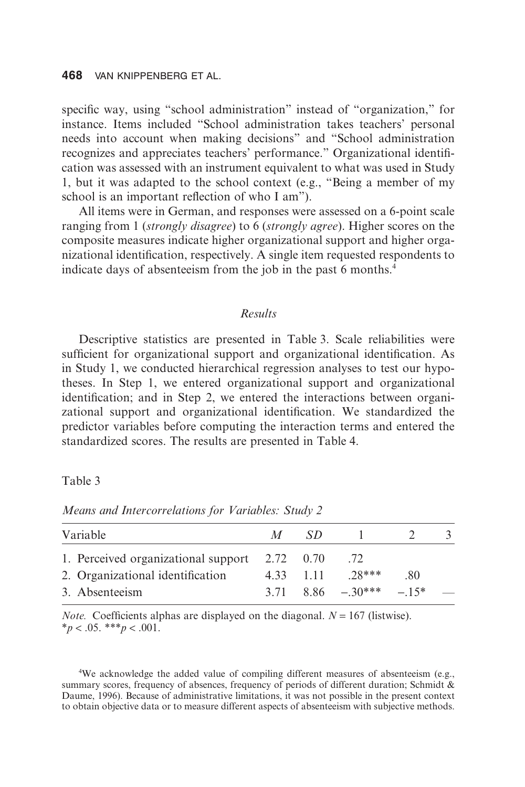specific way, using "school administration" instead of "organization," for instance. Items included "School administration takes teachers' personal needs into account when making decisions" and "School administration recognizes and appreciates teachers' performance." Organizational identification was assessed with an instrument equivalent to what was used in Study 1, but it was adapted to the school context (e.g., "Being a member of my school is an important reflection of who I am").

All items were in German, and responses were assessed on a 6-point scale ranging from 1 (*strongly disagree*) to 6 (*strongly agree*). Higher scores on the composite measures indicate higher organizational support and higher organizational identification, respectively. A single item requested respondents to indicate days of absenteeism from the job in the past 6 months.<sup>4</sup>

## *Results*

Descriptive statistics are presented in Table 3. Scale reliabilities were sufficient for organizational support and organizational identification. As in Study 1, we conducted hierarchical regression analyses to test our hypotheses. In Step 1, we entered organizational support and organizational identification; and in Step 2, we entered the interactions between organizational support and organizational identification. We standardized the predictor variables before computing the interaction terms and entered the standardized scores. The results are presented in Table 4.

## Table 3

| Variable                                          | $\boldsymbol{M}$ | -SD.      | a Tana                                    |     |  |
|---------------------------------------------------|------------------|-----------|-------------------------------------------|-----|--|
| 1. Perceived organizational support 2.72 0.70 .72 |                  |           |                                           |     |  |
| 2. Organizational identification                  |                  | 4.33 1.11 | $28***$                                   | .80 |  |
| 3. Absenteeism                                    |                  |           | $3.71 \quad 8.86 \quad -30*** \quad -15*$ |     |  |

*Means and Intercorrelations for Variables: Study 2*

*Note.* Coefficients alphas are displayed on the diagonal.  $N = 167$  (listwise).  $*_{p}$  < .05. \*\*\**p* < .001.

<sup>4</sup>We acknowledge the added value of compiling different measures of absenteeism (e.g., summary scores, frequency of absences, frequency of periods of different duration; Schmidt & Daume, 1996). Because of administrative limitations, it was not possible in the present context to obtain objective data or to measure different aspects of absenteeism with subjective methods.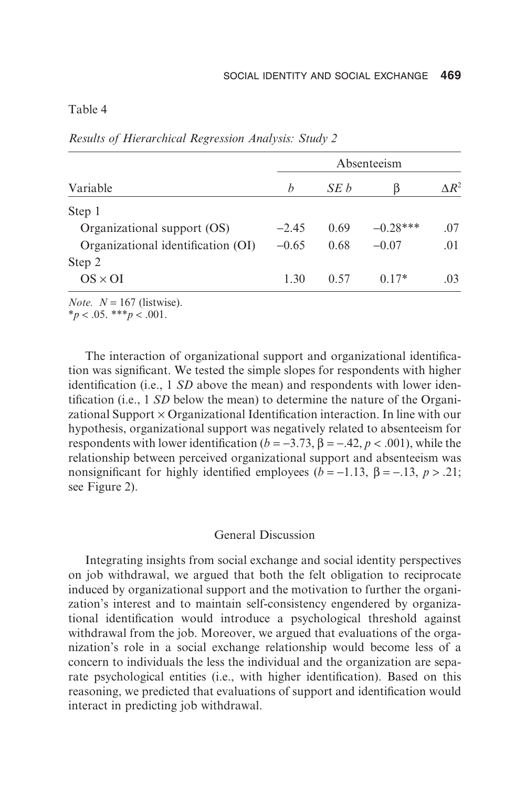## Table 4

|                                    |         | Absenteeism |            |              |  |  |
|------------------------------------|---------|-------------|------------|--------------|--|--|
| Variable                           | h       | SE b        | B          | $\Delta R^2$ |  |  |
| Step 1                             |         |             |            |              |  |  |
| Organizational support (OS)        | $-2.45$ | 0.69        | $-0.28***$ | .07          |  |  |
| Organizational identification (OI) | $-0.65$ | 0.68        | $-0.07$    | .01          |  |  |
| Step 2                             |         |             |            |              |  |  |
| $OS \times OI$                     | 1.30    | 0.57        | $0.17*$    | .03          |  |  |

*Results of Hierarchical Regression Analysis: Study 2*

*Note. N* = 167 (listwise).

 $*_{p}$  < .05. \*\*\**p* < .001.

The interaction of organizational support and organizational identification was significant. We tested the simple slopes for respondents with higher identification (i.e., 1 *SD* above the mean) and respondents with lower identification (i.e., 1 *SD* below the mean) to determine the nature of the Organizational Support  $\times$  Organizational Identification interaction. In line with our hypothesis, organizational support was negatively related to absenteeism for respondents with lower identification  $(b = -3.73, \beta = -.42, p < .001)$ , while the relationship between perceived organizational support and absenteeism was nonsignificant for highly identified employees  $(b = -1.13, \beta = -.13, p > .21;$ see Figure 2).

## General Discussion

Integrating insights from social exchange and social identity perspectives on job withdrawal, we argued that both the felt obligation to reciprocate induced by organizational support and the motivation to further the organization's interest and to maintain self-consistency engendered by organizational identification would introduce a psychological threshold against withdrawal from the job. Moreover, we argued that evaluations of the organization's role in a social exchange relationship would become less of a concern to individuals the less the individual and the organization are separate psychological entities (i.e., with higher identification). Based on this reasoning, we predicted that evaluations of support and identification would interact in predicting job withdrawal.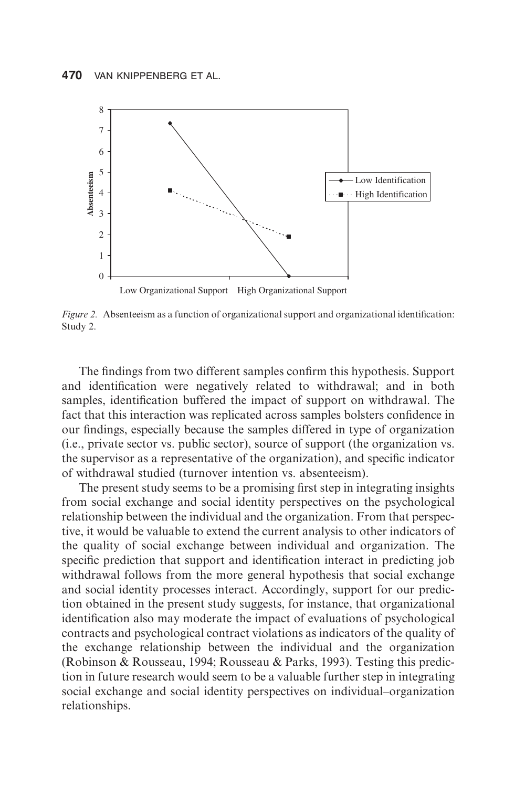

Low Organizational Support High Organizational Support

*Figure 2.* Absenteeism as a function of organizational support and organizational identification: Study 2.

The findings from two different samples confirm this hypothesis. Support and identification were negatively related to withdrawal; and in both samples, identification buffered the impact of support on withdrawal. The fact that this interaction was replicated across samples bolsters confidence in our findings, especially because the samples differed in type of organization (i.e., private sector vs. public sector), source of support (the organization vs. the supervisor as a representative of the organization), and specific indicator of withdrawal studied (turnover intention vs. absenteeism).

The present study seems to be a promising first step in integrating insights from social exchange and social identity perspectives on the psychological relationship between the individual and the organization. From that perspective, it would be valuable to extend the current analysis to other indicators of the quality of social exchange between individual and organization. The specific prediction that support and identification interact in predicting job withdrawal follows from the more general hypothesis that social exchange and social identity processes interact. Accordingly, support for our prediction obtained in the present study suggests, for instance, that organizational identification also may moderate the impact of evaluations of psychological contracts and psychological contract violations as indicators of the quality of the exchange relationship between the individual and the organization (Robinson & Rousseau, 1994; Rousseau & Parks, 1993). Testing this prediction in future research would seem to be a valuable further step in integrating social exchange and social identity perspectives on individual–organization relationships.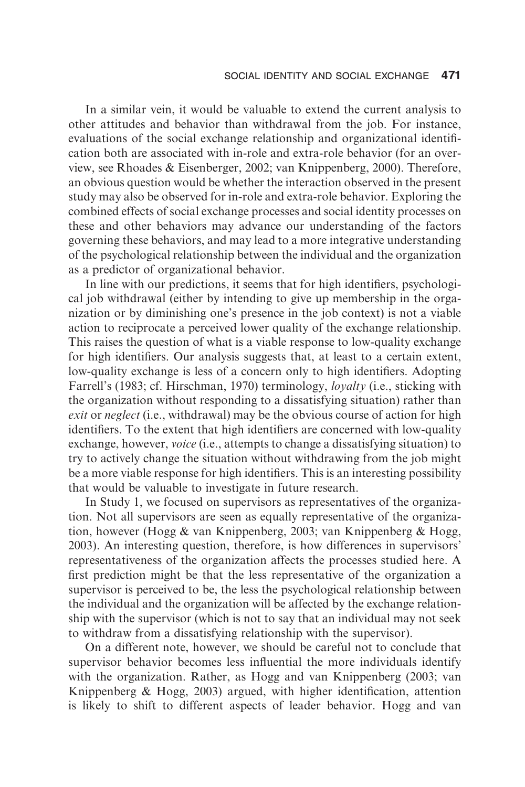In a similar vein, it would be valuable to extend the current analysis to other attitudes and behavior than withdrawal from the job. For instance, evaluations of the social exchange relationship and organizational identification both are associated with in-role and extra-role behavior (for an overview, see Rhoades & Eisenberger, 2002; van Knippenberg, 2000). Therefore, an obvious question would be whether the interaction observed in the present study may also be observed for in-role and extra-role behavior. Exploring the combined effects of social exchange processes and social identity processes on these and other behaviors may advance our understanding of the factors governing these behaviors, and may lead to a more integrative understanding of the psychological relationship between the individual and the organization as a predictor of organizational behavior.

In line with our predictions, it seems that for high identifiers, psychological job withdrawal (either by intending to give up membership in the organization or by diminishing one's presence in the job context) is not a viable action to reciprocate a perceived lower quality of the exchange relationship. This raises the question of what is a viable response to low-quality exchange for high identifiers. Our analysis suggests that, at least to a certain extent, low-quality exchange is less of a concern only to high identifiers. Adopting Farrell's (1983; cf. Hirschman, 1970) terminology, *loyalty* (i.e., sticking with the organization without responding to a dissatisfying situation) rather than *exit* or *neglect* (i.e., withdrawal) may be the obvious course of action for high identifiers. To the extent that high identifiers are concerned with low-quality exchange, however, *voice* (i.e., attempts to change a dissatisfying situation) to try to actively change the situation without withdrawing from the job might be a more viable response for high identifiers. This is an interesting possibility that would be valuable to investigate in future research.

In Study 1, we focused on supervisors as representatives of the organization. Not all supervisors are seen as equally representative of the organization, however (Hogg & van Knippenberg, 2003; van Knippenberg & Hogg, 2003). An interesting question, therefore, is how differences in supervisors' representativeness of the organization affects the processes studied here. A first prediction might be that the less representative of the organization a supervisor is perceived to be, the less the psychological relationship between the individual and the organization will be affected by the exchange relationship with the supervisor (which is not to say that an individual may not seek to withdraw from a dissatisfying relationship with the supervisor).

On a different note, however, we should be careful not to conclude that supervisor behavior becomes less influential the more individuals identify with the organization. Rather, as Hogg and van Knippenberg (2003; van Knippenberg & Hogg, 2003) argued, with higher identification, attention is likely to shift to different aspects of leader behavior. Hogg and van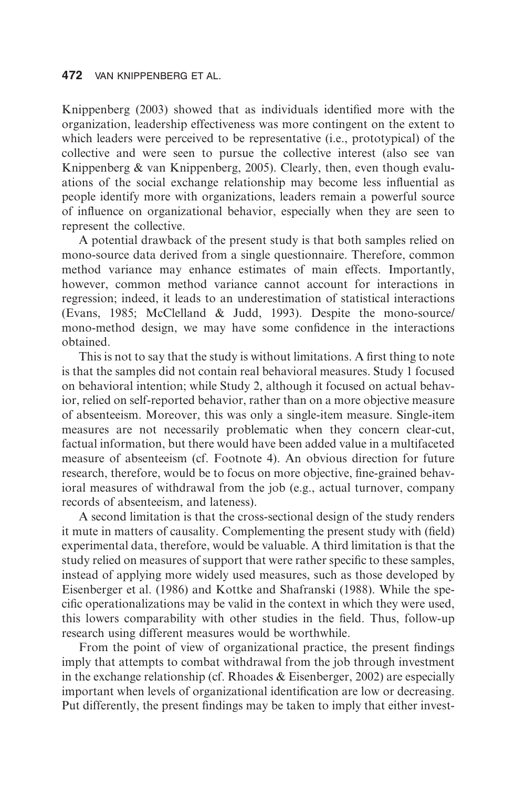Knippenberg (2003) showed that as individuals identified more with the organization, leadership effectiveness was more contingent on the extent to which leaders were perceived to be representative (i.e., prototypical) of the collective and were seen to pursue the collective interest (also see van Knippenberg & van Knippenberg, 2005). Clearly, then, even though evaluations of the social exchange relationship may become less influential as people identify more with organizations, leaders remain a powerful source of influence on organizational behavior, especially when they are seen to represent the collective.

A potential drawback of the present study is that both samples relied on mono-source data derived from a single questionnaire. Therefore, common method variance may enhance estimates of main effects. Importantly, however, common method variance cannot account for interactions in regression; indeed, it leads to an underestimation of statistical interactions (Evans, 1985; McClelland & Judd, 1993). Despite the mono-source/ mono-method design, we may have some confidence in the interactions obtained.

This is not to say that the study is without limitations. A first thing to note is that the samples did not contain real behavioral measures. Study 1 focused on behavioral intention; while Study 2, although it focused on actual behavior, relied on self-reported behavior, rather than on a more objective measure of absenteeism. Moreover, this was only a single-item measure. Single-item measures are not necessarily problematic when they concern clear-cut, factual information, but there would have been added value in a multifaceted measure of absenteeism (cf. Footnote 4). An obvious direction for future research, therefore, would be to focus on more objective, fine-grained behavioral measures of withdrawal from the job (e.g., actual turnover, company records of absenteeism, and lateness).

A second limitation is that the cross-sectional design of the study renders it mute in matters of causality. Complementing the present study with (field) experimental data, therefore, would be valuable. A third limitation is that the study relied on measures of support that were rather specific to these samples, instead of applying more widely used measures, such as those developed by Eisenberger et al. (1986) and Kottke and Shafranski (1988). While the specific operationalizations may be valid in the context in which they were used, this lowers comparability with other studies in the field. Thus, follow-up research using different measures would be worthwhile.

From the point of view of organizational practice, the present findings imply that attempts to combat withdrawal from the job through investment in the exchange relationship (cf. Rhoades  $&$  Eisenberger, 2002) are especially important when levels of organizational identification are low or decreasing. Put differently, the present findings may be taken to imply that either invest-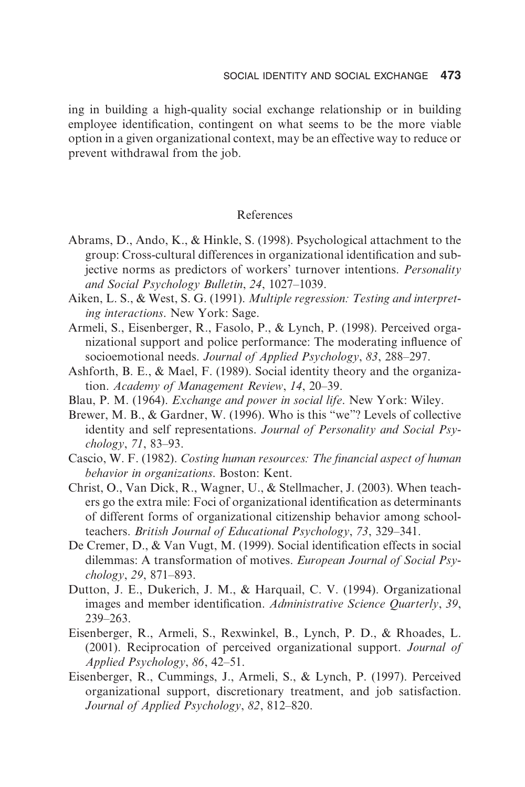ing in building a high-quality social exchange relationship or in building employee identification, contingent on what seems to be the more viable option in a given organizational context, may be an effective way to reduce or prevent withdrawal from the job.

## References

- Abrams, D., Ando, K., & Hinkle, S. (1998). Psychological attachment to the group: Cross-cultural differences in organizational identification and subjective norms as predictors of workers' turnover intentions. *Personality and Social Psychology Bulletin*, *24*, 1027–1039.
- Aiken, L. S., & West, S. G. (1991). *Multiple regression: Testing and interpreting interactions*. New York: Sage.
- Armeli, S., Eisenberger, R., Fasolo, P., & Lynch, P. (1998). Perceived organizational support and police performance: The moderating influence of socioemotional needs. *Journal of Applied Psychology*, *83*, 288–297.
- Ashforth, B. E., & Mael, F. (1989). Social identity theory and the organization. *Academy of Management Review*, *14*, 20–39.
- Blau, P. M. (1964). *Exchange and power in social life*. New York: Wiley.
- Brewer, M. B., & Gardner, W. (1996). Who is this "we"? Levels of collective identity and self representations. *Journal of Personality and Social Psychology*, *71*, 83–93.
- Cascio, W. F. (1982). *Costing human resources: The financial aspect of human behavior in organizations*. Boston: Kent.
- Christ, O., Van Dick, R., Wagner, U., & Stellmacher, J. (2003). When teachers go the extra mile: Foci of organizational identification as determinants of different forms of organizational citizenship behavior among schoolteachers. *British Journal of Educational Psychology*, *73*, 329–341.
- De Cremer, D., & Van Vugt, M. (1999). Social identification effects in social dilemmas: A transformation of motives. *European Journal of Social Psychology*, *29*, 871–893.
- Dutton, J. E., Dukerich, J. M., & Harquail, C. V. (1994). Organizational images and member identification. *Administrative Science Quarterly*, *39*, 239–263.
- Eisenberger, R., Armeli, S., Rexwinkel, B., Lynch, P. D., & Rhoades, L. (2001). Reciprocation of perceived organizational support. *Journal of Applied Psychology*, *86*, 42–51.
- Eisenberger, R., Cummings, J., Armeli, S., & Lynch, P. (1997). Perceived organizational support, discretionary treatment, and job satisfaction. *Journal of Applied Psychology*, *82*, 812–820.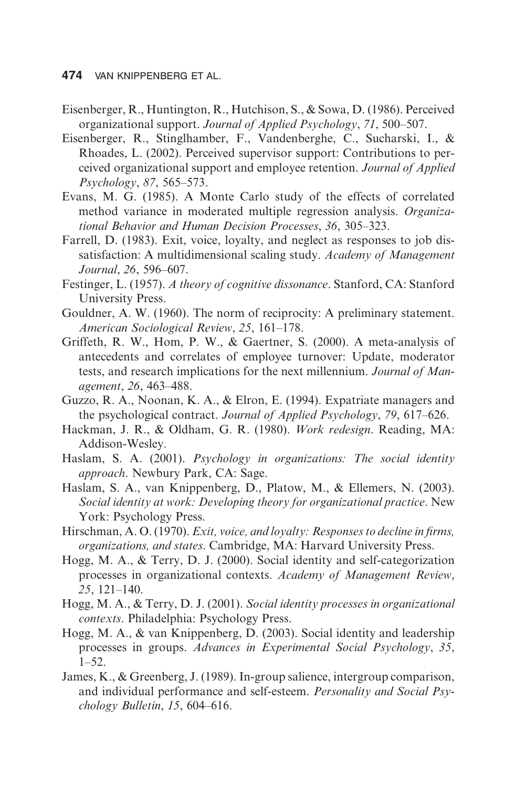- Eisenberger, R., Huntington, R., Hutchison, S., & Sowa, D. (1986). Perceived organizational support. *Journal of Applied Psychology*, *71*, 500–507.
- Eisenberger, R., Stinglhamber, F., Vandenberghe, C., Sucharski, I., & Rhoades, L. (2002). Perceived supervisor support: Contributions to perceived organizational support and employee retention. *Journal of Applied Psychology*, *87*, 565–573.
- Evans, M. G. (1985). A Monte Carlo study of the effects of correlated method variance in moderated multiple regression analysis. *Organizational Behavior and Human Decision Processes*, *36*, 305–323.
- Farrell, D. (1983). Exit, voice, loyalty, and neglect as responses to job dissatisfaction: A multidimensional scaling study. *Academy of Management Journal*, *26*, 596–607.
- Festinger, L. (1957). *A theory of cognitive dissonance*. Stanford, CA: Stanford University Press.
- Gouldner, A. W. (1960). The norm of reciprocity: A preliminary statement. *American Sociological Review*, *25*, 161–178.
- Griffeth, R. W., Hom, P. W., & Gaertner, S. (2000). A meta-analysis of antecedents and correlates of employee turnover: Update, moderator tests, and research implications for the next millennium. *Journal of Management*, *26*, 463–488.
- Guzzo, R. A., Noonan, K. A., & Elron, E. (1994). Expatriate managers and the psychological contract. *Journal of Applied Psychology*, *79*, 617–626.
- Hackman, J. R., & Oldham, G. R. (1980). *Work redesign*. Reading, MA: Addison-Wesley.
- Haslam, S. A. (2001). *Psychology in organizations: The social identity approach*. Newbury Park, CA: Sage.
- Haslam, S. A., van Knippenberg, D., Platow, M., & Ellemers, N. (2003). *Social identity at work: Developing theory for organizational practice*. New York: Psychology Press.
- Hirschman, A. O. (1970). *Exit, voice, and loyalty: Responses to decline in firms, organizations, and states*. Cambridge, MA: Harvard University Press.
- Hogg, M. A., & Terry, D. J. (2000). Social identity and self-categorization processes in organizational contexts. *Academy of Management Review*, *25*, 121–140.
- Hogg, M. A., & Terry, D. J. (2001). *Social identity processes in organizational contexts*. Philadelphia: Psychology Press.
- Hogg, M. A., & van Knippenberg, D. (2003). Social identity and leadership processes in groups. *Advances in Experimental Social Psychology*, *35*,  $1-52.$
- James, K., & Greenberg, J. (1989). In-group salience, intergroup comparison, and individual performance and self-esteem. *Personality and Social Psychology Bulletin*, *15*, 604–616.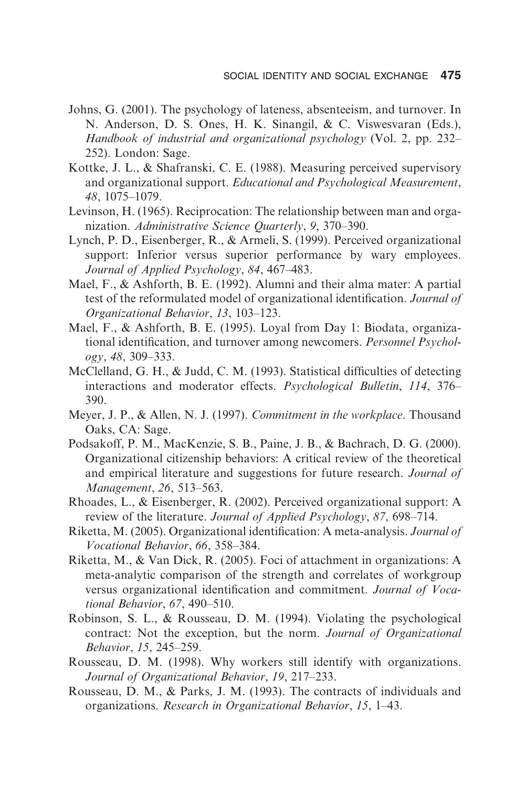- Johns, G. (2001). The psychology of lateness, absenteeism, and turnover. In N. Anderson, D. S. Ones, H. K. Sinangil, & C. Viswesvaran (Eds.), *Handbook of industrial and organizational psychology* (Vol. 2, pp. 232– 252). London: Sage.
- Kottke, J. L., & Shafranski, C. E. (1988). Measuring perceived supervisory and organizational support. *Educational and Psychological Measurement*, *48*, 1075–1079.
- Levinson, H. (1965). Reciprocation: The relationship between man and organization. *Administrative Science Quarterly*, *9*, 370–390.
- Lynch, P. D., Eisenberger, R., & Armeli, S. (1999). Perceived organizational support: Inferior versus superior performance by wary employees. *Journal of Applied Psychology*, *84*, 467–483.
- Mael, F., & Ashforth, B. E. (1992). Alumni and their alma mater: A partial test of the reformulated model of organizational identification. *Journal of Organizational Behavior*, *13*, 103–123.
- Mael, F., & Ashforth, B. E. (1995). Loyal from Day 1: Biodata, organizational identification, and turnover among newcomers. *Personnel Psychology*, *48*, 309–333.
- McClelland, G. H., & Judd, C. M. (1993). Statistical difficulties of detecting interactions and moderator effects. *Psychological Bulletin*, *114*, 376– 390.
- Meyer, J. P., & Allen, N. J. (1997). *Commitment in the workplace*. Thousand Oaks, CA: Sage.
- Podsakoff, P. M., MacKenzie, S. B., Paine, J. B., & Bachrach, D. G. (2000). Organizational citizenship behaviors: A critical review of the theoretical and empirical literature and suggestions for future research. *Journal of Management*, *26*, 513–563.
- Rhoades, L., & Eisenberger, R. (2002). Perceived organizational support: A review of the literature. *Journal of Applied Psychology*, *87*, 698–714.
- Riketta, M. (2005). Organizational identification: A meta-analysis. *Journal of Vocational Behavior*, *66*, 358–384.
- Riketta, M., & Van Dick, R. (2005). Foci of attachment in organizations: A meta-analytic comparison of the strength and correlates of workgroup versus organizational identification and commitment. *Journal of Vocational Behavior*, *67*, 490–510.
- Robinson, S. L., & Rousseau, D. M. (1994). Violating the psychological contract: Not the exception, but the norm. *Journal of Organizational Behavior*, *15*, 245–259.
- Rousseau, D. M. (1998). Why workers still identify with organizations. *Journal of Organizational Behavior*, *19*, 217–233.
- Rousseau, D. M., & Parks, J. M. (1993). The contracts of individuals and organizations. *Research in Organizational Behavior*, *15*, 1–43.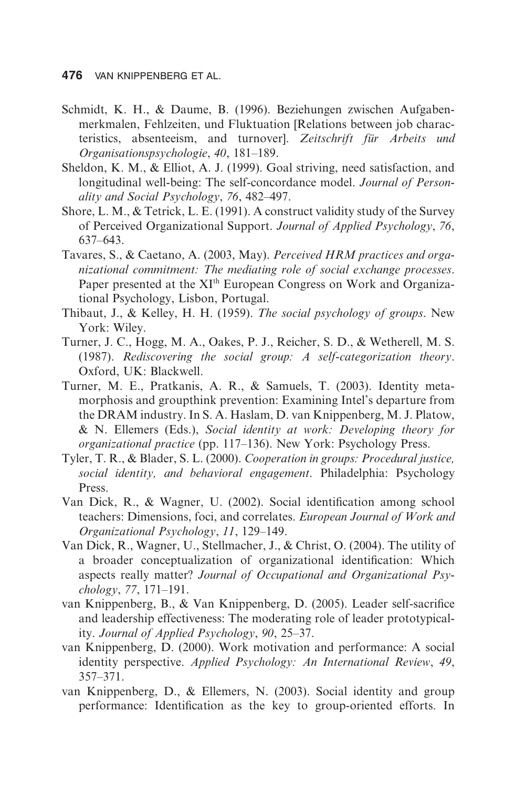- Schmidt, K. H., & Daume, B. (1996). Beziehungen zwischen Aufgabenmerkmalen, Fehlzeiten, und Fluktuation [Relations between job characteristics, absenteeism, and turnover]. *Zeitschrift für Arbeits und Organisationspsychologie*, *40*, 181–189.
- Sheldon, K. M., & Elliot, A. J. (1999). Goal striving, need satisfaction, and longitudinal well-being: The self-concordance model. *Journal of Personality and Social Psychology*, *76*, 482–497.
- Shore, L. M., & Tetrick, L. E. (1991). A construct validity study of the Survey of Perceived Organizational Support. *Journal of Applied Psychology*, *76*, 637–643.
- Tavares, S., & Caetano, A. (2003, May). *Perceived HRM practices and organizational commitment: The mediating role of social exchange processes*. Paper presented at the XI<sup>th</sup> European Congress on Work and Organizational Psychology, Lisbon, Portugal.
- Thibaut, J., & Kelley, H. H. (1959). *The social psychology of groups*. New York: Wiley.
- Turner, J. C., Hogg, M. A., Oakes, P. J., Reicher, S. D., & Wetherell, M. S. (1987). *Rediscovering the social group: A self-categorization theory*. Oxford, UK: Blackwell.
- Turner, M. E., Pratkanis, A. R., & Samuels, T. (2003). Identity metamorphosis and groupthink prevention: Examining Intel's departure from the DRAM industry. In S. A. Haslam, D. van Knippenberg, M. J. Platow, & N. Ellemers (Eds.), *Social identity at work: Developing theory for organizational practice* (pp. 117–136). New York: Psychology Press.
- Tyler, T. R., & Blader, S. L. (2000). *Cooperation in groups: Procedural justice, social identity, and behavioral engagement*. Philadelphia: Psychology Press.
- Van Dick, R., & Wagner, U. (2002). Social identification among school teachers: Dimensions, foci, and correlates. *European Journal of Work and Organizational Psychology*, *11*, 129–149.
- Van Dick, R., Wagner, U., Stellmacher, J., & Christ, O. (2004). The utility of a broader conceptualization of organizational identification: Which aspects really matter? *Journal of Occupational and Organizational Psychology*, *77*, 171–191.
- van Knippenberg, B., & Van Knippenberg, D. (2005). Leader self-sacrifice and leadership effectiveness: The moderating role of leader prototypicality. *Journal of Applied Psychology*, *90*, 25–37.
- van Knippenberg, D. (2000). Work motivation and performance: A social identity perspective. *Applied Psychology: An International Review*, *49*, 357–371.
- van Knippenberg, D., & Ellemers, N. (2003). Social identity and group performance: Identification as the key to group-oriented efforts. In